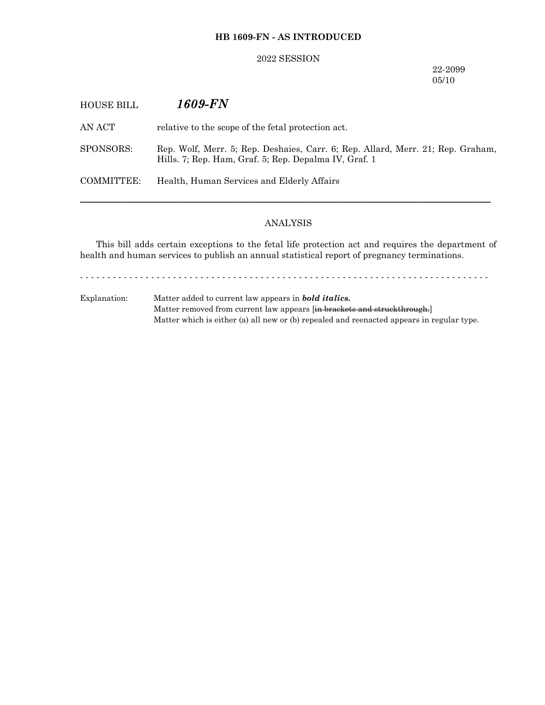## **HB 1609-FN - AS INTRODUCED**

### 2022 SESSION

22-2099 05/10

| <b>HOUSE BILL</b> | 1609-FN                                                                                                                                  |
|-------------------|------------------------------------------------------------------------------------------------------------------------------------------|
| AN ACT-           | relative to the scope of the fetal protection act.                                                                                       |
| SPONSORS:         | Rep. Wolf, Merr. 5; Rep. Deshaies, Carr. 6; Rep. Allard, Merr. 21; Rep. Graham,<br>Hills. 7; Rep. Ham, Graf. 5; Rep. Depalma IV, Graf. 1 |
| COMMITTEE:        | Health, Human Services and Elderly Affairs                                                                                               |
|                   |                                                                                                                                          |

# ANALYSIS

This bill adds certain exceptions to the fetal life protection act and requires the department of health and human services to publish an annual statistical report of pregnancy terminations.

- - - - - - - - - - - - - - - - - - - - - - - - - - - - - - - - - - - - - - - - - - - - - - - - - - - - - - - - - - - - - - - - - - - - - - - - - - -

Explanation: Matter added to current law appears in *bold italics.* Matter removed from current law appears [in brackets and struckthrough.] Matter which is either (a) all new or (b) repealed and reenacted appears in regular type.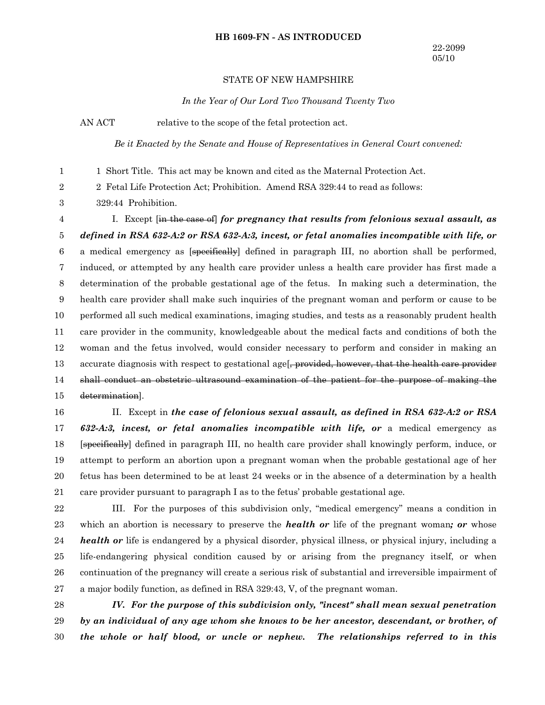#### **HB 1609-FN - AS INTRODUCED**

#### STATE OF NEW HAMPSHIRE

*In the Year of Our Lord Two Thousand Twenty Two*

AN ACT relative to the scope of the fetal protection act.

*Be it Enacted by the Senate and House of Representatives in General Court convened:*

1 Short Title. This act may be known and cited as the Maternal Protection Act. 1

2 Fetal Life Protection Act; Prohibition. Amend RSA 329:44 to read as follows: 2

329:44 Prohibition. 3

I. Except [in the case of] *for pregnancy that results from felonious sexual assault, as defined in RSA 632-A:2 or RSA 632-A:3, incest, or fetal anomalies incompatible with life, or* a medical emergency as [specifically] defined in paragraph III, no abortion shall be performed, induced, or attempted by any health care provider unless a health care provider has first made a determination of the probable gestational age of the fetus. In making such a determination, the health care provider shall make such inquiries of the pregnant woman and perform or cause to be performed all such medical examinations, imaging studies, and tests as a reasonably prudent health care provider in the community, knowledgeable about the medical facts and conditions of both the woman and the fetus involved, would consider necessary to perform and consider in making an accurate diagnosis with respect to gestational age. provided, however, that the health care provider shall conduct an obstetric ultrasound examination of the patient for the purpose of making the determination]. 4 5 6 7 8 9 10 11 12 13 14 15

II. Except in *the case of felonious sexual assault, as defined in RSA 632-A:2 or RSA 632-A:3, incest, or fetal anomalies incompatible with life, or* a medical emergency as [specifically] defined in paragraph III, no health care provider shall knowingly perform, induce, or attempt to perform an abortion upon a pregnant woman when the probable gestational age of her fetus has been determined to be at least 24 weeks or in the absence of a determination by a health care provider pursuant to paragraph I as to the fetus' probable gestational age. 16 17 18 19 20 21

III. For the purposes of this subdivision only, "medical emergency" means a condition in which an abortion is necessary to preserve the *health or* life of the pregnant woman*; or* whose *health or* life is endangered by a physical disorder, physical illness, or physical injury, including a life-endangering physical condition caused by or arising from the pregnancy itself, or when continuation of the pregnancy will create a serious risk of substantial and irreversible impairment of a major bodily function, as defined in RSA 329:43, V, of the pregnant woman. 22 23 24 25 26 27

*IV. For the purpose of this subdivision only, "incest" shall mean sexual penetration by an individual of any age whom she knows to be her ancestor, descendant, or brother, of the whole or half blood, or uncle or nephew. The relationships referred to in this* 28 29 30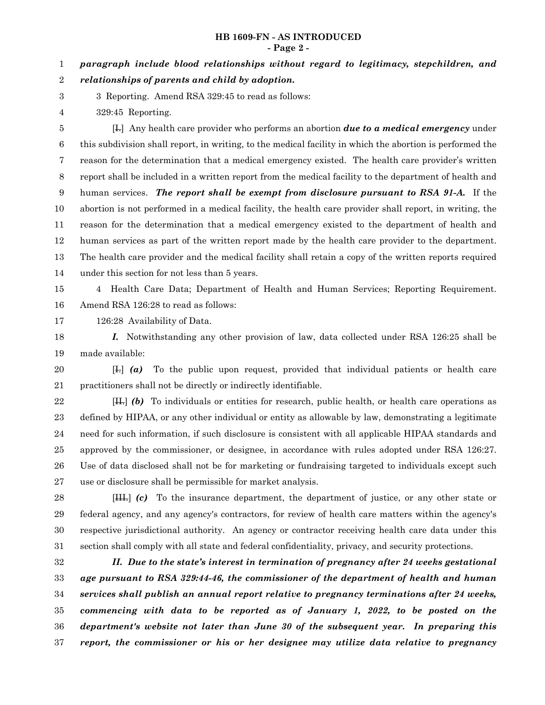#### **HB 1609-FN - AS INTRODUCED - Page 2 -**

*paragraph include blood relationships without regard to legitimacy, stepchildren, and relationships of parents and child by adoption.* 1 2

- 3 Reporting. Amend RSA 329:45 to read as follows: 3
- 329:45 Reporting. 4

[I.] Any health care provider who performs an abortion *due to a medical emergency* under this subdivision shall report, in writing, to the medical facility in which the abortion is performed the reason for the determination that a medical emergency existed. The health care provider's written report shall be included in a written report from the medical facility to the department of health and human services. *The report shall be exempt from disclosure pursuant to RSA 91-A.* If the abortion is not performed in a medical facility, the health care provider shall report, in writing, the reason for the determination that a medical emergency existed to the department of health and human services as part of the written report made by the health care provider to the department. The health care provider and the medical facility shall retain a copy of the written reports required under this section for not less than 5 years. 5 6 7 8 9 10 11 12 13 14

4 Health Care Data; Department of Health and Human Services; Reporting Requirement. Amend RSA 126:28 to read as follows: 15 16

126:28 Availability of Data. 17

*I.* Notwithstanding any other provision of law, data collected under RSA 126:25 shall be made available: 18 19

[I.] *(a)* To the public upon request, provided that individual patients or health care practitioners shall not be directly or indirectly identifiable. 20 21

[II.] *(b)* To individuals or entities for research, public health, or health care operations as defined by HIPAA, or any other individual or entity as allowable by law, demonstrating a legitimate need for such information, if such disclosure is consistent with all applicable HIPAA standards and approved by the commissioner, or designee, in accordance with rules adopted under RSA 126:27. Use of data disclosed shall not be for marketing or fundraising targeted to individuals except such use or disclosure shall be permissible for market analysis. 22 23 24 25 26 27

[III.] *(c)* To the insurance department, the department of justice, or any other state or federal agency, and any agency's contractors, for review of health care matters within the agency's respective jurisdictional authority. An agency or contractor receiving health care data under this section shall comply with all state and federal confidentiality, privacy, and security protections. 28 29 30 31

*II. Due to the state's interest in termination of pregnancy after 24 weeks gestational age pursuant to RSA 329:44-46, the commissioner of the department of health and human services shall publish an annual report relative to pregnancy terminations after 24 weeks, commencing with data to be reported as of January 1, 2022, to be posted on the department's website not later than June 30 of the subsequent year. In preparing this report, the commissioner or his or her designee may utilize data relative to pregnancy* 32 33 34 35 36 37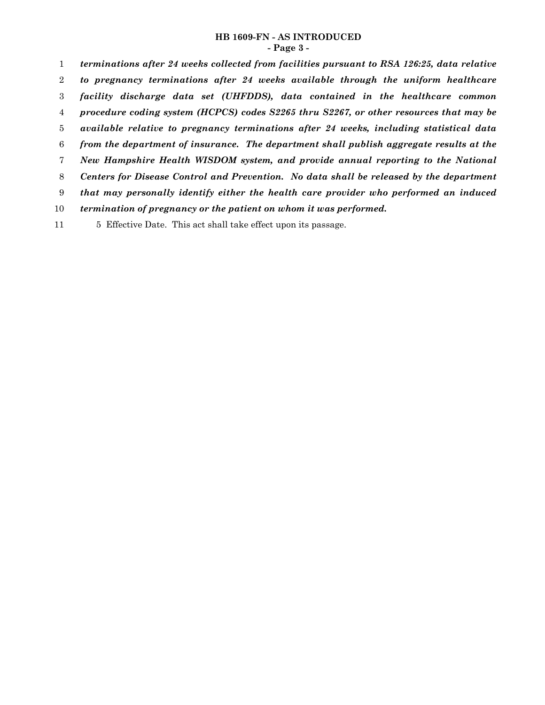## **HB 1609-FN - AS INTRODUCED - Page 3 -**

*terminations after 24 weeks collected from facilities pursuant to RSA 126:25, data relative to pregnancy terminations after 24 weeks available through the uniform healthcare facility discharge data set (UHFDDS), data contained in the healthcare common procedure coding system (HCPCS) codes S2265 thru S2267, or other resources that may be available relative to pregnancy terminations after 24 weeks, including statistical data from the department of insurance. The department shall publish aggregate results at the New Hampshire Health WISDOM system, and provide annual reporting to the National Centers for Disease Control and Prevention. No data shall be released by the department that may personally identify either the health care provider who performed an induced termination of pregnancy or the patient on whom it was performed.* 1 2 3 4 5 6 7 8 9 10

5 Effective Date. This act shall take effect upon its passage. 11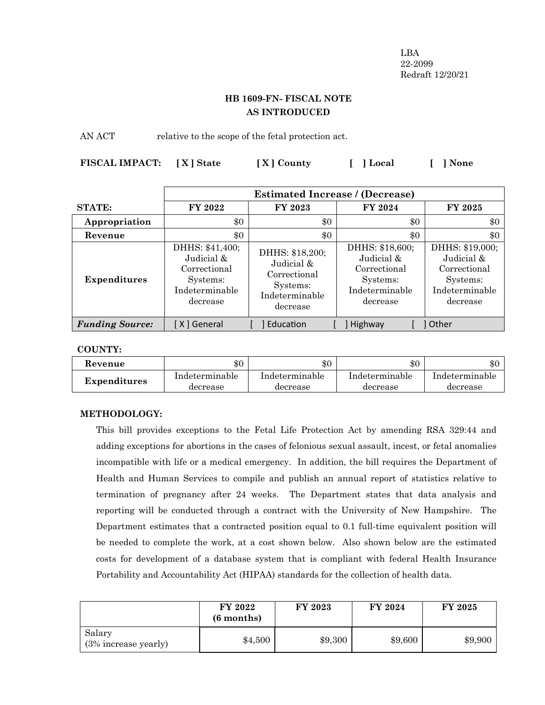LBA 22-2099 Redraft 12/20/21

# **HB 1609-FN- FISCAL NOTE AS INTRODUCED**

AN ACT relative to the scope of the fetal protection act.

| FISCAL IMPACT: [X] State | [X] County | [ ] Local | [ ] None |
|--------------------------|------------|-----------|----------|
|                          |            |           |          |

|                        | <b>Estimated Increase / (Decrease)</b>                                                  |                                                                                         |                                                                                         |                                                                                         |
|------------------------|-----------------------------------------------------------------------------------------|-----------------------------------------------------------------------------------------|-----------------------------------------------------------------------------------------|-----------------------------------------------------------------------------------------|
| <b>STATE:</b>          | <b>FY 2022</b>                                                                          | FY 2023                                                                                 | FY 2024                                                                                 | FY 2025                                                                                 |
| Appropriation          | \$0                                                                                     | \$0                                                                                     | \$0                                                                                     | \$0                                                                                     |
| Revenue                | \$0                                                                                     | \$0                                                                                     | \$0                                                                                     | \$0                                                                                     |
| <b>Expenditures</b>    | DHHS: \$41,400;<br>Judicial &<br>Correctional<br>Systems:<br>Indeterminable<br>decrease | DHHS: \$18,200;<br>Judicial &<br>Correctional<br>Systems:<br>Indeterminable<br>decrease | DHHS: \$18,600;<br>Judicial &<br>Correctional<br>Systems:<br>Indeterminable<br>decrease | DHHS: \$19,000;<br>Judicial &<br>Correctional<br>Systems:<br>Indeterminable<br>decrease |
| <b>Funding Source:</b> | [ X ] General                                                                           | Education                                                                               | Highway                                                                                 | Other                                                                                   |

## **COUNTY:**

| Kevenue             | $\$0$          | \$0            | \$0            | $\$0$          |
|---------------------|----------------|----------------|----------------|----------------|
| <b>Expenditures</b> | Indeterminable | Indeterminable | Indeterminable | Indeterminable |
|                     | decrease       | decrease       | decrease       | decrease       |

# **METHODOLOGY:**

This bill provides exceptions to the Fetal Life Protection Act by amending RSA 329:44 and adding exceptions for abortions in the cases of felonious sexual assault, incest, or fetal anomalies incompatible with life or a medical emergency. In addition, the bill requires the Department of Health and Human Services to compile and publish an annual report of statistics relative to termination of pregnancy after 24 weeks. The Department states that data analysis and reporting will be conducted through a contract with the University of New Hampshire. The Department estimates that a contracted position equal to 0.1 full-time equivalent position will be needed to complete the work, at a cost shown below. Also shown below are the estimated costs for development of a database system that is compliant with federal Health Insurance Portability and Accountability Act (HIPAA) standards for the collection of health data.

|                                | <b>FY 2022</b><br>$(6$ months) | <b>FY 2023</b> | FY 2024 | FY 2025 |
|--------------------------------|--------------------------------|----------------|---------|---------|
| Salary<br>(3% increase yearly) | \$4,500                        | \$9,300        | \$9,600 | \$9,900 |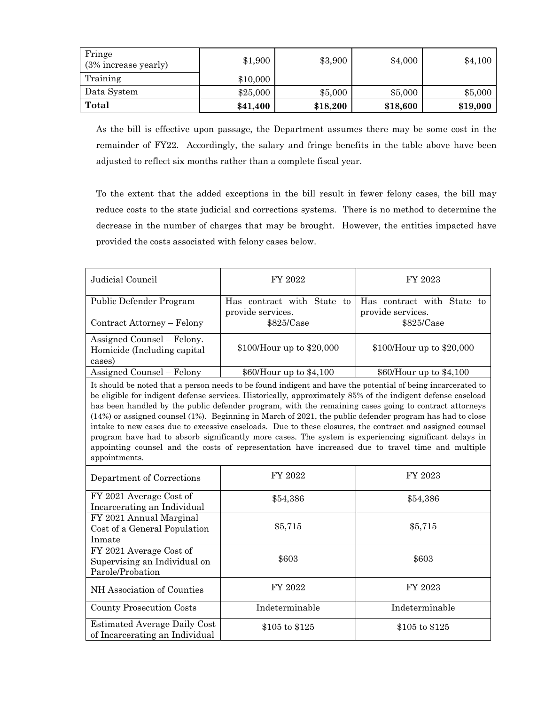| Fringe<br>(3% increase yearly) | \$1,900  | \$3,900  | \$4,000  | \$4,100  |
|--------------------------------|----------|----------|----------|----------|
| Training                       | \$10,000 |          |          |          |
| Data System                    | \$25,000 | \$5,000  | \$5,000  | \$5,000  |
| Total                          | \$41,400 | \$18,200 | \$18,600 | \$19,000 |

As the bill is effective upon passage, the Department assumes there may be some cost in the remainder of FY22. Accordingly, the salary and fringe benefits in the table above have been adjusted to reflect six months rather than a complete fiscal year.

To the extent that the added exceptions in the bill result in fewer felony cases, the bill may reduce costs to the state judicial and corrections systems. There is no method to determine the decrease in the number of charges that may be brought. However, the entities impacted have provided the costs associated with felony cases below.

| Judicial Council                                                                                                                                                                                                                                                                                                                                                                                                                                                                                                                                                                                                                                                                                                                                                                                | FY 2022                                         | FY 2023                                         |  |  |  |  |
|-------------------------------------------------------------------------------------------------------------------------------------------------------------------------------------------------------------------------------------------------------------------------------------------------------------------------------------------------------------------------------------------------------------------------------------------------------------------------------------------------------------------------------------------------------------------------------------------------------------------------------------------------------------------------------------------------------------------------------------------------------------------------------------------------|-------------------------------------------------|-------------------------------------------------|--|--|--|--|
| Public Defender Program                                                                                                                                                                                                                                                                                                                                                                                                                                                                                                                                                                                                                                                                                                                                                                         | Has contract with State to<br>provide services. | Has contract with State to<br>provide services. |  |  |  |  |
| Contract Attorney - Felony                                                                                                                                                                                                                                                                                                                                                                                                                                                                                                                                                                                                                                                                                                                                                                      | \$825/Case                                      | \$825/Case                                      |  |  |  |  |
| Assigned Counsel - Felony.<br>Homicide (Including capital)<br>cases)                                                                                                                                                                                                                                                                                                                                                                                                                                                                                                                                                                                                                                                                                                                            | \$100/Hour up to \$20,000                       | \$100/Hour up to \$20,000                       |  |  |  |  |
| Assigned Counsel - Felony                                                                                                                                                                                                                                                                                                                                                                                                                                                                                                                                                                                                                                                                                                                                                                       | \$60/Hour up to \$4,100                         | \$60/Hour up to \$4,100                         |  |  |  |  |
| It should be noted that a person needs to be found indigent and have the potential of being incarcerated to<br>be eligible for indigent defense services. Historically, approximately 85% of the indigent defense caseload<br>has been handled by the public defender program, with the remaining cases going to contract attorneys<br>$(14%)$ or assigned counsel $(1%)$ . Beginning in March of 2021, the public defender program has had to close<br>intake to new cases due to excessive caseloads. Due to these closures, the contract and assigned counsel<br>program have had to absorb significantly more cases. The system is experiencing significant delays in<br>appointing counsel and the costs of representation have increased due to travel time and multiple<br>appointments. |                                                 |                                                 |  |  |  |  |
| Department of Corrections                                                                                                                                                                                                                                                                                                                                                                                                                                                                                                                                                                                                                                                                                                                                                                       | FY 2022                                         | FY 2023                                         |  |  |  |  |
| FY 2021 Average Cost of<br>Incarcerating an Individual                                                                                                                                                                                                                                                                                                                                                                                                                                                                                                                                                                                                                                                                                                                                          | \$54,386                                        | \$54,386                                        |  |  |  |  |
| FY 2021 Annual Marginal<br>Cost of a General Population<br>Inmate                                                                                                                                                                                                                                                                                                                                                                                                                                                                                                                                                                                                                                                                                                                               | \$5,715                                         | \$5,715                                         |  |  |  |  |
| FY 2021 Average Cost of<br>Supervising an Individual on<br>Parole/Probation                                                                                                                                                                                                                                                                                                                                                                                                                                                                                                                                                                                                                                                                                                                     | \$603                                           | \$603                                           |  |  |  |  |
| NH Association of Counties                                                                                                                                                                                                                                                                                                                                                                                                                                                                                                                                                                                                                                                                                                                                                                      | FY 2022                                         | FY 2023                                         |  |  |  |  |
| <b>County Prosecution Costs</b>                                                                                                                                                                                                                                                                                                                                                                                                                                                                                                                                                                                                                                                                                                                                                                 | Indeterminable                                  | Indeterminable                                  |  |  |  |  |
| Estimated Average Daily Cost<br>of Incarcerating an Individual                                                                                                                                                                                                                                                                                                                                                                                                                                                                                                                                                                                                                                                                                                                                  | \$105 to \$125                                  | \$105 to \$125                                  |  |  |  |  |